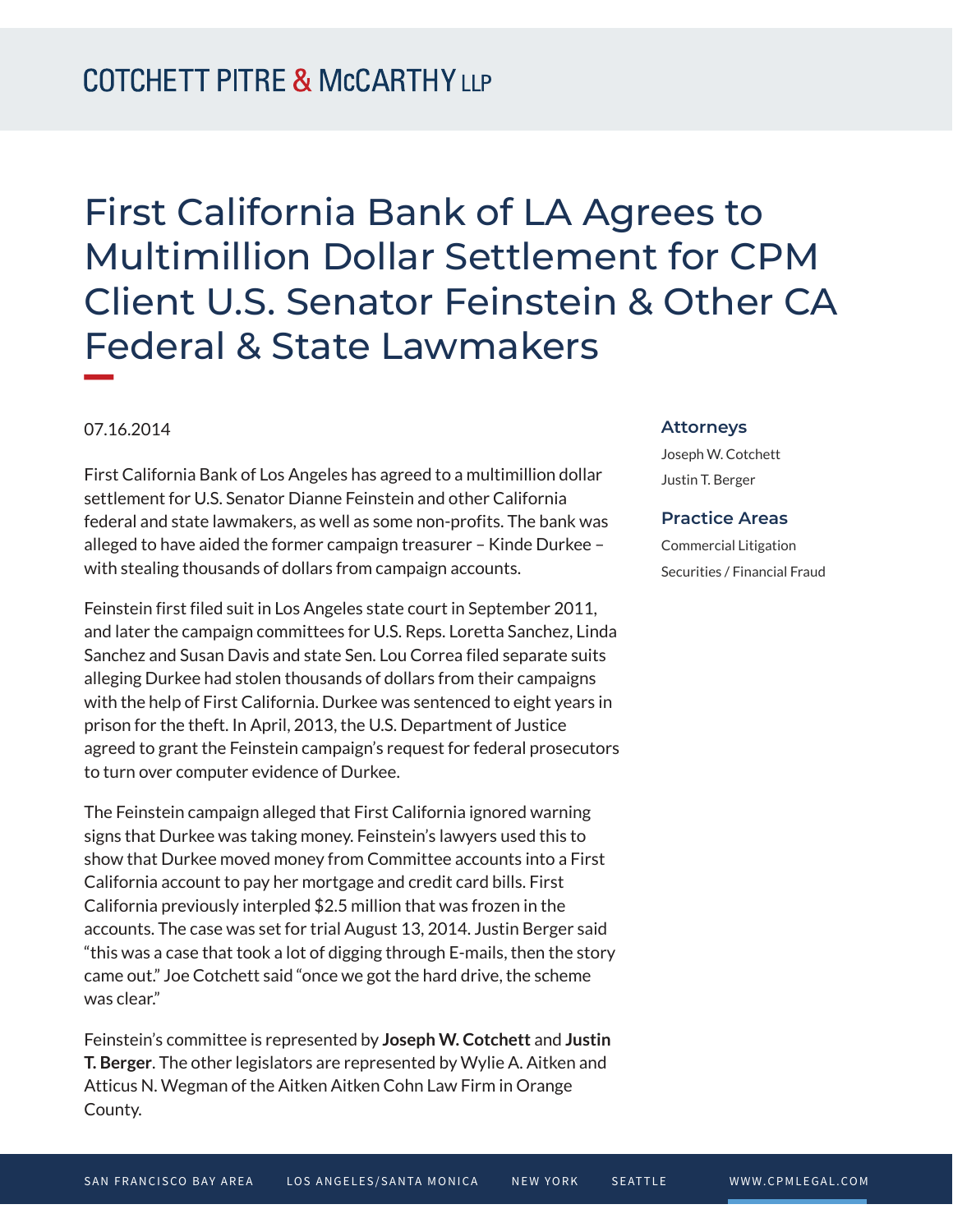# First California Bank of LA Agrees to Multimillion Dollar Settlement for CPM Client U.S. Senator Feinstein & Other CA Federal & State Lawmakers

## 07.16.2014

**William Company** 

First California Bank of Los Angeles has agreed to a multimillion dollar settlement for U.S. Senator Dianne Feinstein and other California federal and state lawmakers, as well as some non-profits. The bank was alleged to have aided the former campaign treasurer – Kinde Durkee – with stealing thousands of dollars from campaign accounts.

Feinstein first filed suit in Los Angeles state court in September 2011, and later the campaign committees for U.S. Reps. Loretta Sanchez, Linda Sanchez and Susan Davis and state Sen. Lou Correa filed separate suits alleging Durkee had stolen thousands of dollars from their campaigns with the help of First California. Durkee was sentenced to eight years in prison for the theft. In April, 2013, the U.S. Department of Justice agreed to grant the Feinstein campaign's request for federal prosecutors to turn over computer evidence of Durkee.

The Feinstein campaign alleged that First California ignored warning signs that Durkee was taking money. Feinstein's lawyers used this to show that Durkee moved money from Committee accounts into a First California account to pay her mortgage and credit card bills. First California previously interpled \$2.5 million that was frozen in the accounts. The case was set for trial August 13, 2014. Justin Berger said "this was a case that took a lot of digging through E-mails, then the story came out." Joe Cotchett said "once we got the hard drive, the scheme was clear."

Feinstein's committee is represented by **Joseph W. Cotchett** and **Justin T. Berger**. The other legislators are represented by Wylie A. Aitken and Atticus N. Wegman of the Aitken Aitken Cohn Law Firm in Orange County.

#### **Attorneys**

Joseph W. Cotchett Justin T. Berger

### **Practice Areas**

Commercial Litigation Securities / Financial Fraud